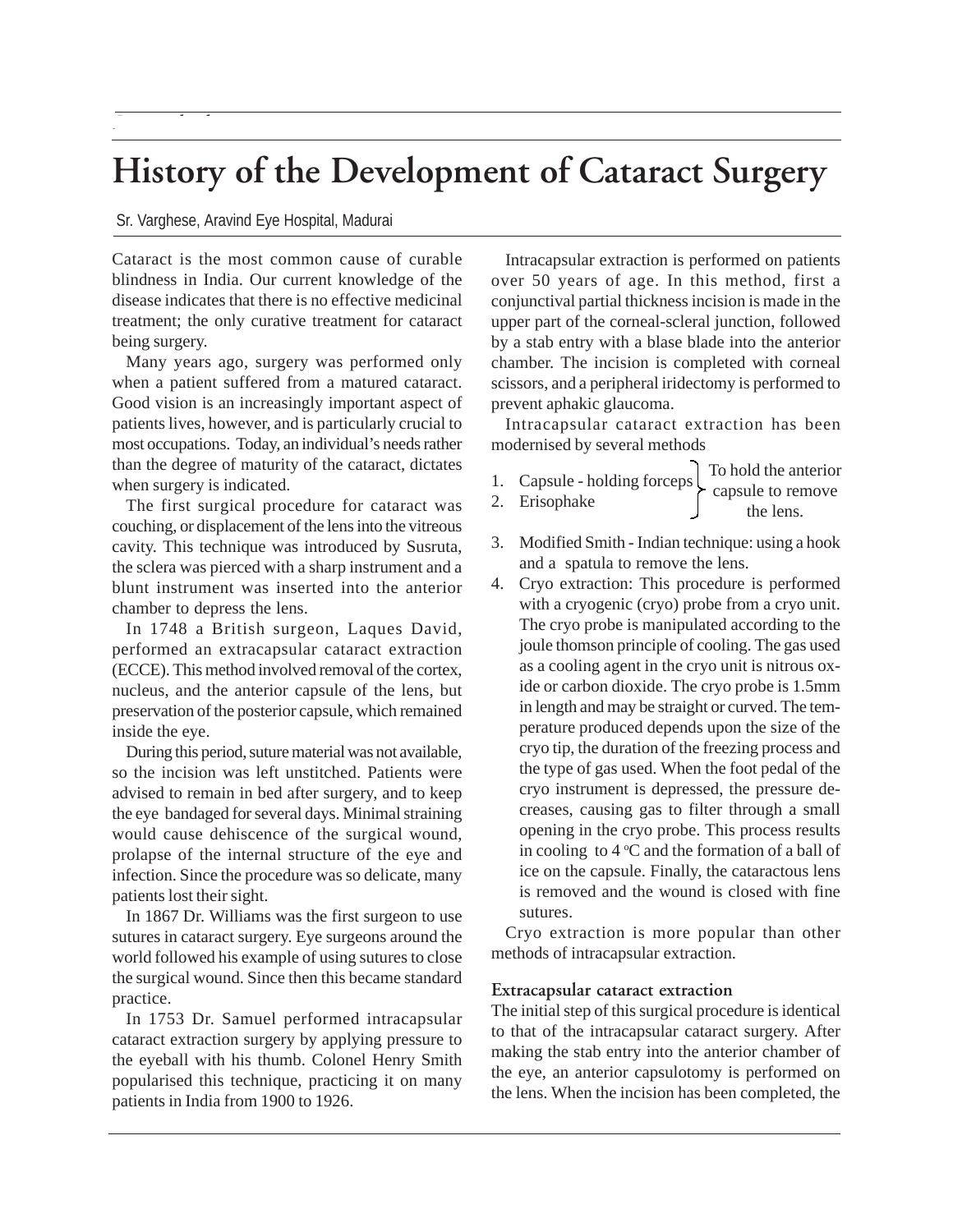# **History of the Development of Cataract Surgery**

#### Sr. Varghese, Aravind Eye Hospital, Madurai

*Paramedical*

Cataract is the most common cause of curable blindness in India. Our current knowledge of the disease indicates that there is no effective medicinal treatment; the only curative treatment for cataract being surgery.

Many years ago, surgery was performed only when a patient suffered from a matured cataract. Good vision is an increasingly important aspect of patients lives, however, and is particularly crucial to most occupations. Today, an individual's needs rather than the degree of maturity of the cataract, dictates when surgery is indicated.

The first surgical procedure for cataract was couching, or displacement of the lens into the vitreous cavity. This technique was introduced by Susruta, the sclera was pierced with a sharp instrument and a blunt instrument was inserted into the anterior chamber to depress the lens.

In 1748 a British surgeon, Laques David, performed an extracapsular cataract extraction (ECCE). This method involved removal of the cortex, nucleus, and the anterior capsule of the lens, but preservation of the posterior capsule, which remained inside the eye.

During this period, suture material was not available, so the incision was left unstitched. Patients were advised to remain in bed after surgery, and to keep the eye bandaged for several days. Minimal straining would cause dehiscence of the surgical wound, prolapse of the internal structure of the eye and infection. Since the procedure was so delicate, many patients lost their sight.

In 1867 Dr. Williams was the first surgeon to use sutures in cataract surgery. Eye surgeons around the world followed his example of using sutures to close the surgical wound. Since then this became standard practice.

In 1753 Dr. Samuel performed intracapsular cataract extraction surgery by applying pressure to the eyeball with his thumb. Colonel Henry Smith popularised this technique, practicing it on many patients in India from 1900 to 1926.

Intracapsular extraction is performed on patients over 50 years of age. In this method, first a conjunctival partial thickness incision is made in the upper part of the corneal-scleral junction, followed by a stab entry with a blase blade into the anterior chamber. The incision is completed with corneal scissors, and a peripheral iridectomy is performed to prevent aphakic glaucoma.

Intracapsular cataract extraction has been modernised by several methods

- 1. Capsule holding forceps To hold the anterior capsule to remove
- 2. Erisophake the lens.
- 3. Modified Smith Indian technique: using a hook and a spatula to remove the lens.
- 4. Cryo extraction: This procedure is performed with a cryogenic (cryo) probe from a cryo unit. The cryo probe is manipulated according to the joule thomson principle of cooling. The gas used as a cooling agent in the cryo unit is nitrous oxide or carbon dioxide. The cryo probe is 1.5mm in length and may be straight or curved. The temperature produced depends upon the size of the cryo tip, the duration of the freezing process and the type of gas used. When the foot pedal of the cryo instrument is depressed, the pressure decreases, causing gas to filter through a small opening in the cryo probe. This process results in cooling to  $4^{\circ}$ C and the formation of a ball of ice on the capsule. Finally, the cataractous lens is removed and the wound is closed with fine sutures.

Cryo extraction is more popular than other methods of intracapsular extraction.

#### **Extracapsular cataract extraction**

The initial step of this surgical procedure is identical to that of the intracapsular cataract surgery. After making the stab entry into the anterior chamber of the eye, an anterior capsulotomy is performed on the lens. When the incision has been completed, the